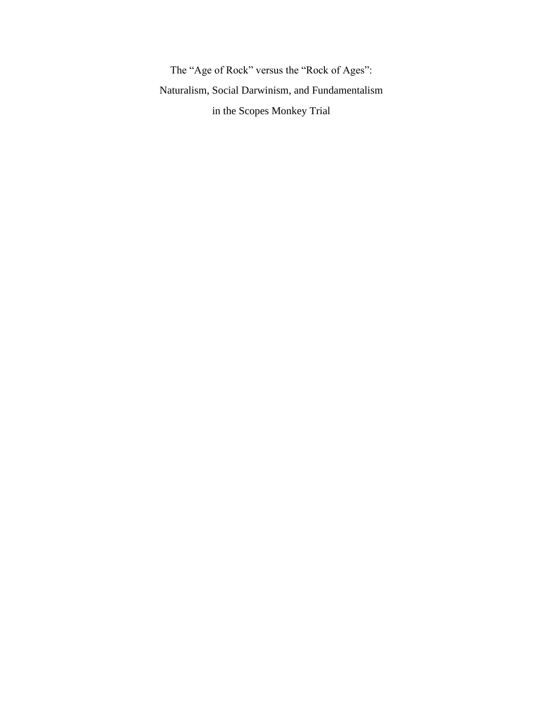The "Age of Rock" versus the "Rock of Ages": Naturalism, Social Darwinism, and Fundamentalism in the Scopes Monkey Trial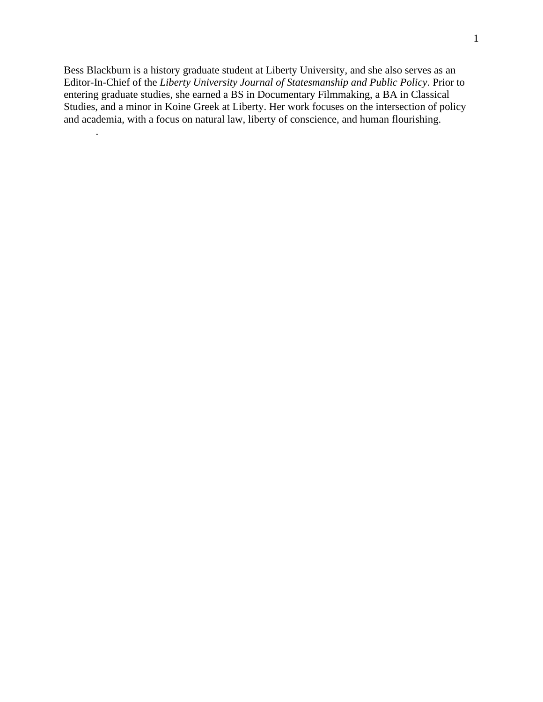Bess Blackburn is a history graduate student at Liberty University, and she also serves as an Editor-In-Chief of the *Liberty University Journal of Statesmanship and Public Policy*. Prior to entering graduate studies, she earned a BS in Documentary Filmmaking, a BA in Classical Studies, and a minor in Koine Greek at Liberty. Her work focuses on the intersection of policy and academia, with a focus on natural law, liberty of conscience, and human flourishing.

.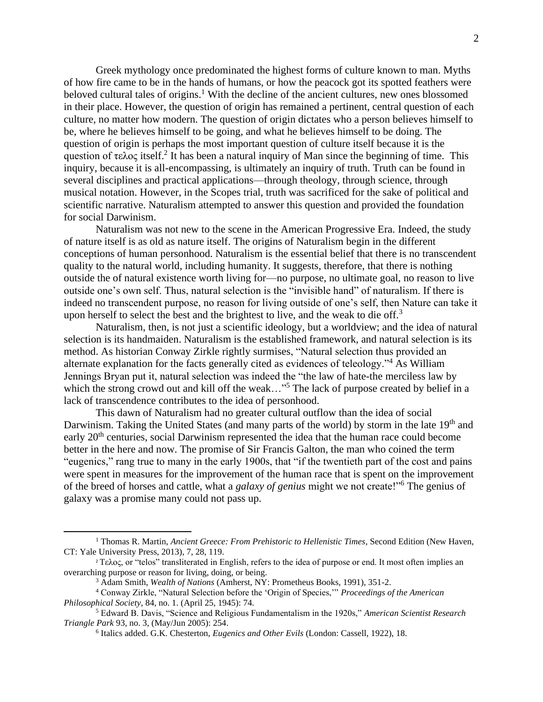Greek mythology once predominated the highest forms of culture known to man. Myths of how fire came to be in the hands of humans, or how the peacock got its spotted feathers were beloved cultural tales of origins.<sup>1</sup> With the decline of the ancient cultures, new ones blossomed in their place. However, the question of origin has remained a pertinent, central question of each culture, no matter how modern. The question of origin dictates who a person believes himself to be, where he believes himself to be going, and what he believes himself to be doing. The question of origin is perhaps the most important question of culture itself because it is the question of τελος itself.<sup>2</sup> It has been a natural inquiry of Man since the beginning of time. This inquiry, because it is all-encompassing, is ultimately an inquiry of truth. Truth can be found in several disciplines and practical applications—through theology, through science, through musical notation. However, in the Scopes trial, truth was sacrificed for the sake of political and scientific narrative. Naturalism attempted to answer this question and provided the foundation for social Darwinism.

Naturalism was not new to the scene in the American Progressive Era. Indeed, the study of nature itself is as old as nature itself. The origins of Naturalism begin in the different conceptions of human personhood. Naturalism is the essential belief that there is no transcendent quality to the natural world, including humanity. It suggests, therefore, that there is nothing outside the of natural existence worth living for—no purpose, no ultimate goal, no reason to live outside one's own self. Thus, natural selection is the "invisible hand" of naturalism. If there is indeed no transcendent purpose, no reason for living outside of one's self, then Nature can take it upon herself to select the best and the brightest to live, and the weak to die off.<sup>3</sup>

Naturalism, then, is not just a scientific ideology, but a worldview; and the idea of natural selection is its handmaiden. Naturalism is the established framework, and natural selection is its method. As historian Conway Zirkle rightly surmises, "Natural selection thus provided an alternate explanation for the facts generally cited as evidences of teleology."<sup>4</sup> As William Jennings Bryan put it, natural selection was indeed the "the law of hate-the merciless law by which the strong crowd out and kill off the weak..."<sup>5</sup> The lack of purpose created by belief in a lack of transcendence contributes to the idea of personhood.

This dawn of Naturalism had no greater cultural outflow than the idea of social Darwinism. Taking the United States (and many parts of the world) by storm in the late 19<sup>th</sup> and early 20<sup>th</sup> centuries, social Darwinism represented the idea that the human race could become better in the here and now. The promise of Sir Francis Galton, the man who coined the term "eugenics," rang true to many in the early 1900s, that "if the twentieth part of the cost and pains were spent in measures for the improvement of the human race that is spent on the improvement of the breed of horses and cattle, what a *galaxy of genius* might we not create!"<sup>6</sup> The genius of galaxy was a promise many could not pass up.

<sup>&</sup>lt;sup>1</sup> Thomas R. Martin, *Ancient Greece: From Prehistoric to Hellenistic Times*, Second Edition (New Haven, CT: Yale University Press, 2013), 7, 28, 119.

<sup>2</sup> Τελος, or "telos" transliterated in English, refers to the idea of purpose or end. It most often implies an overarching purpose or reason for living, doing, or being.

<sup>3</sup> Adam Smith, *Wealth of Nations* (Amherst, NY: Prometheus Books, 1991), 351-2.

<sup>4</sup> Conway Zirkle, "Natural Selection before the 'Origin of Species,'" *Proceedings of the American Philosophical Society*, 84, no. 1. (April 25, 1945): 74.

<sup>5</sup> Edward B. Davis, "Science and Religious Fundamentalism in the 1920s," *American Scientist Research Triangle Park* 93, no. 3, (May/Jun 2005): 254.

<sup>6</sup> Italics added. G.K. Chesterton, *Eugenics and Other Evils* (London: Cassell, 1922), 18.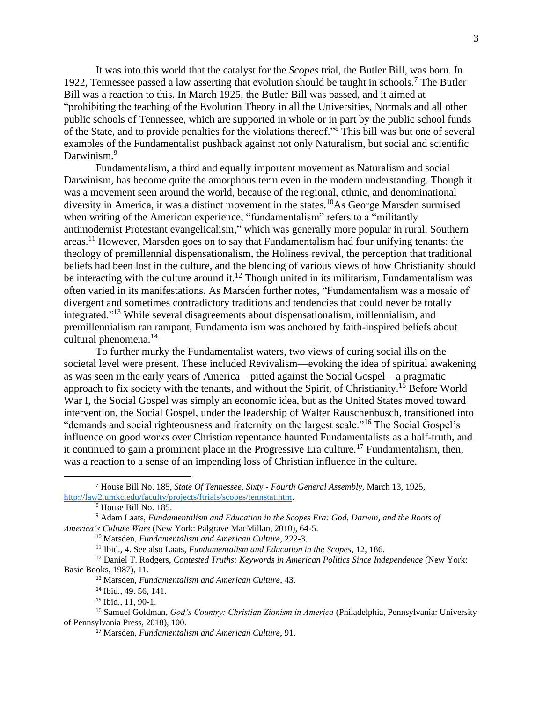It was into this world that the catalyst for the *Scopes* trial, the Butler Bill, was born. In 1922, Tennessee passed a law asserting that evolution should be taught in schools.<sup>7</sup> The Butler Bill was a reaction to this. In March 1925, the Butler Bill was passed, and it aimed at "prohibiting the teaching of the Evolution Theory in all the Universities, Normals and all other public schools of Tennessee, which are supported in whole or in part by the public school funds of the State, and to provide penalties for the violations thereof." <sup>8</sup> This bill was but one of several examples of the Fundamentalist pushback against not only Naturalism, but social and scientific Darwinism.<sup>9</sup>

Fundamentalism, a third and equally important movement as Naturalism and social Darwinism, has become quite the amorphous term even in the modern understanding. Though it was a movement seen around the world, because of the regional, ethnic, and denominational diversity in America, it was a distinct movement in the states.<sup>10</sup>As George Marsden surmised when writing of the American experience, "fundamentalism" refers to a "militantly antimodernist Protestant evangelicalism," which was generally more popular in rural, Southern areas.<sup>11</sup> However, Marsden goes on to say that Fundamentalism had four unifying tenants: the theology of premillennial dispensationalism, the Holiness revival, the perception that traditional beliefs had been lost in the culture, and the blending of various views of how Christianity should be interacting with the culture around it.<sup>12</sup> Though united in its militarism, Fundamentalism was often varied in its manifestations. As Marsden further notes, "Fundamentalism was a mosaic of divergent and sometimes contradictory traditions and tendencies that could never be totally integrated."<sup>13</sup> While several disagreements about dispensationalism, millennialism, and premillennialism ran rampant, Fundamentalism was anchored by faith-inspired beliefs about cultural phenomena.<sup>14</sup>

To further murky the Fundamentalist waters, two views of curing social ills on the societal level were present. These included Revivalism—evoking the idea of spiritual awakening as was seen in the early years of America—pitted against the Social Gospel—a pragmatic approach to fix society with the tenants, and without the Spirit, of Christianity.<sup>15</sup> Before World War I, the Social Gospel was simply an economic idea, but as the United States moved toward intervention, the Social Gospel, under the leadership of Walter Rauschenbusch, transitioned into "demands and social righteousness and fraternity on the largest scale."<sup>16</sup> The Social Gospel's influence on good works over Christian repentance haunted Fundamentalists as a half-truth, and it continued to gain a prominent place in the Progressive Era culture.<sup>17</sup> Fundamentalism, then, was a reaction to a sense of an impending loss of Christian influence in the culture.

<sup>7</sup> House Bill No. 185, *State Of Tennessee, Sixty - Fourth General Assembly*, March 13, 1925, [http://law2.umkc.edu/faculty/projects/ftrials/scopes/tennstat.htm.](http://law2.umkc.edu/faculty/projects/ftrials/scopes/tennstat.htm)

<sup>8</sup> House Bill No. 185.

<sup>9</sup> Adam Laats, *Fundamentalism and Education in the Scopes Era: God, Darwin, and the Roots of America's Culture Wars* (New York: Palgrave MacMillan, 2010), 64-5.

<sup>10</sup> Marsden, *Fundamentalism and American Culture*, 222-3.

<sup>11</sup> Ibid., 4. See also Laats, *Fundamentalism and Education in the Scopes*, 12, 186.

<sup>12</sup> Daniel T. Rodgers, *Contested Truths: Keywords in American Politics Since Independence* (New York: Basic Books, 1987), 11.

<sup>13</sup> Marsden, *Fundamentalism and American Culture*, 43.

<sup>14</sup> Ibid., 49. 56, 141.

<sup>15</sup> Ibid., 11, 90-1.

<sup>16</sup> Samuel Goldman, *God's Country: Christian Zionism in America* (Philadelphia, Pennsylvania: University of Pennsylvania Press, 2018), 100.

<sup>17</sup> Marsden, *Fundamentalism and American Culture*, 91.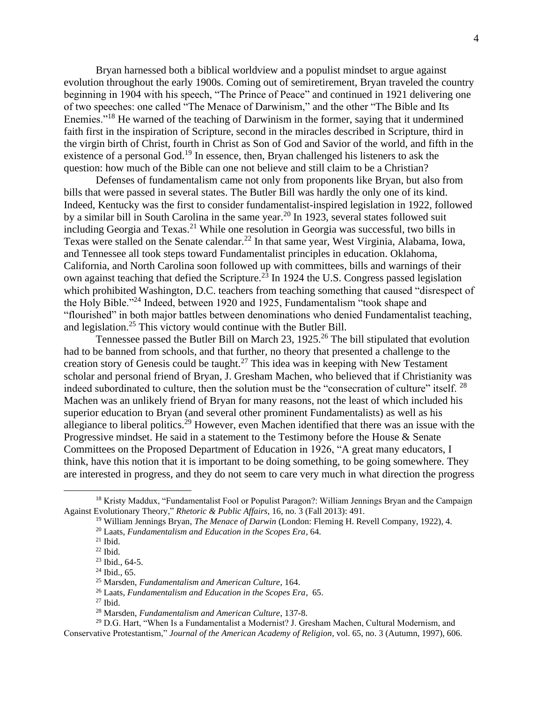Bryan harnessed both a biblical worldview and a populist mindset to argue against evolution throughout the early 1900s. Coming out of semiretirement, Bryan traveled the country beginning in 1904 with his speech, "The Prince of Peace" and continued in 1921 delivering one of two speeches: one called "The Menace of Darwinism," and the other "The Bible and Its Enemies."<sup>18</sup> He warned of the teaching of Darwinism in the former, saying that it undermined faith first in the inspiration of Scripture, second in the miracles described in Scripture, third in the virgin birth of Christ, fourth in Christ as Son of God and Savior of the world, and fifth in the existence of a personal God.<sup>19</sup> In essence, then, Bryan challenged his listeners to ask the question: how much of the Bible can one not believe and still claim to be a Christian?

Defenses of fundamentalism came not only from proponents like Bryan, but also from bills that were passed in several states. The Butler Bill was hardly the only one of its kind. Indeed, Kentucky was the first to consider fundamentalist-inspired legislation in 1922, followed by a similar bill in South Carolina in the same year.<sup>20</sup> In 1923, several states followed suit including Georgia and Texas.<sup>21</sup> While one resolution in Georgia was successful, two bills in Texas were stalled on the Senate calendar.<sup>22</sup> In that same year, West Virginia, Alabama, Iowa, and Tennessee all took steps toward Fundamentalist principles in education. Oklahoma, California, and North Carolina soon followed up with committees, bills and warnings of their own against teaching that defied the Scripture.<sup>23</sup> In 1924 the U.S. Congress passed legislation which prohibited Washington, D.C. teachers from teaching something that caused "disrespect of the Holy Bible."<sup>24</sup> Indeed, between 1920 and 1925, Fundamentalism "took shape and "flourished" in both major battles between denominations who denied Fundamentalist teaching, and legislation.<sup>25</sup> This victory would continue with the Butler Bill.

Tennessee passed the Butler Bill on March 23, 1925.<sup>26</sup> The bill stipulated that evolution had to be banned from schools, and that further, no theory that presented a challenge to the creation story of Genesis could be taught.<sup>27</sup> This idea was in keeping with New Testament scholar and personal friend of Bryan, J. Gresham Machen, who believed that if Christianity was indeed subordinated to culture, then the solution must be the "consecration of culture" itself.  $^{28}$ Machen was an unlikely friend of Bryan for many reasons, not the least of which included his superior education to Bryan (and several other prominent Fundamentalists) as well as his allegiance to liberal politics.<sup>29</sup> However, even Machen identified that there was an issue with the Progressive mindset. He said in a statement to the Testimony before the House & Senate Committees on the Proposed Department of Education in 1926, "A great many educators, I think, have this notion that it is important to be doing something, to be going somewhere. They are interested in progress, and they do not seem to care very much in what direction the progress

<sup>&</sup>lt;sup>18</sup> Kristy Maddux, "Fundamentalist Fool or Populist Paragon?: William Jennings Bryan and the Campaign Against Evolutionary Theory," *Rhetoric & Public Affairs*, 16, no. 3 (Fall 2013): 491.

<sup>19</sup> William Jennings Bryan, *The Menace of Darwin* (London: Fleming H. Revell Company, 1922), 4.

<sup>20</sup> Laats, *Fundamentalism and Education in the Scopes Era*, 64.

 $21$  Ibid.

 $22$  Ibid.

<sup>23</sup> Ibid., 64-5.

 $24$  Ibid., 65.

<sup>25</sup> Marsden, *Fundamentalism and American Culture*, 164.

<sup>26</sup> Laats, *Fundamentalism and Education in the Scopes Era*, 65.

 $27$  Ibid.

<sup>28</sup> Marsden, *Fundamentalism and American Culture*, 137-8.

<sup>&</sup>lt;sup>29</sup> D.G. Hart, "When Is a Fundamentalist a Modernist? J. Gresham Machen, Cultural Modernism, and Conservative Protestantism," *Journal of the American Academy of Religion*, vol. 65, no. 3 (Autumn, 1997), 606.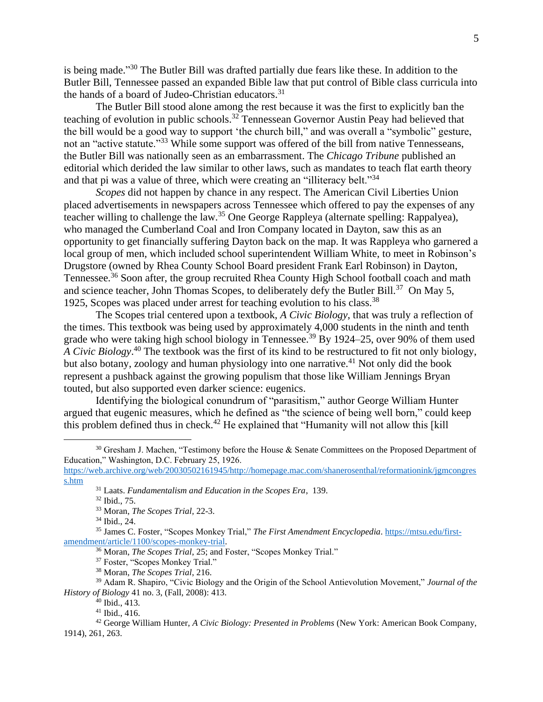is being made." <sup>30</sup> The Butler Bill was drafted partially due fears like these. In addition to the Butler Bill, Tennessee passed an expanded Bible law that put control of Bible class curricula into the hands of a board of Judeo-Christian educators.<sup>31</sup>

The Butler Bill stood alone among the rest because it was the first to explicitly ban the teaching of evolution in public schools.<sup>32</sup> Tennessean Governor Austin Peay had believed that the bill would be a good way to support 'the church bill," and was overall a "symbolic" gesture, not an "active statute."<sup>33</sup> While some support was offered of the bill from native Tennesseans, the Butler Bill was nationally seen as an embarrassment. The *Chicago Tribune* published an editorial which derided the law similar to other laws, such as mandates to teach flat earth theory and that pi was a value of three, which were creating an "illiteracy belt."<sup>34</sup>

*Scopes* did not happen by chance in any respect. The American Civil Liberties Union placed advertisements in newspapers across Tennessee which offered to pay the expenses of any teacher willing to challenge the law.<sup>35</sup> One George Rappleya (alternate spelling: Rappalyea), who managed the Cumberland Coal and Iron Company located in Dayton, saw this as an opportunity to get financially suffering Dayton back on the map. It was Rappleya who garnered a local group of men, which included school superintendent William White, to meet in Robinson's Drugstore (owned by Rhea County School Board president Frank Earl Robinson) in Dayton, Tennessee.<sup>36</sup> Soon after, the group recruited Rhea County High School football coach and math and science teacher, John Thomas Scopes, to deliberately defy the Butler Bill.<sup>37</sup> On May 5, 1925, Scopes was placed under arrest for teaching evolution to his class.<sup>38</sup>

The Scopes trial centered upon a textbook, *A Civic Biology*, that was truly a reflection of the times. This textbook was being used by approximately 4,000 students in the ninth and tenth grade who were taking high school biology in Tennessee. <sup>39</sup> By 1924–25, over 90% of them used *A Civic Biology*. <sup>40</sup> The textbook was the first of its kind to be restructured to fit not only biology, but also botany, zoology and human physiology into one narrative.<sup>41</sup> Not only did the book represent a pushback against the growing populism that those like William Jennings Bryan touted, but also supported even darker science: eugenics.

Identifying the biological conundrum of "parasitism," author George William Hunter argued that eugenic measures, which he defined as "the science of being well born," could keep this problem defined thus in check.<sup>42</sup> He explained that "Humanity will not allow this [kill]

<sup>&</sup>lt;sup>30</sup> Gresham J. Machen, "Testimony before the House & Senate Committees on the Proposed Department of Education," Washington, D.C. February 25, 1926.

[https://web.archive.org/web/20030502161945/http://homepage.mac.com/shanerosenthal/reformationink/jgmcongres](https://web.archive.org/web/20030502161945/http:/homepage.mac.com/shanerosenthal/reformationink/jgmcongress.htm) [s.htm](https://web.archive.org/web/20030502161945/http:/homepage.mac.com/shanerosenthal/reformationink/jgmcongress.htm)

<sup>31</sup> Laats. *Fundamentalism and Education in the Scopes Era*, 139.

 $32$  Ibid., 75.

<sup>33</sup> Moran, *The Scopes Trial,* 22-3.

<sup>34</sup> Ibid., 24.

<sup>35</sup> James C. Foster, "Scopes Monkey Trial," *The First Amendment Encyclopedia*. [https://mtsu.edu/first](https://mtsu.edu/first-amendment/article/1100/scopes-monkey-trial)[amendment/article/1100/scopes-monkey-trial.](https://mtsu.edu/first-amendment/article/1100/scopes-monkey-trial)

<sup>36</sup> Moran, *The Scopes Trial*, 25; and Foster, "Scopes Monkey Trial."

<sup>37</sup> Foster, "Scopes Monkey Trial."

<sup>38</sup> Moran, *The Scopes Trial*, 216.

<sup>39</sup> Adam R. Shapiro, "Civic Biology and the Origin of the School Antievolution Movement," *Journal of the History of Biology* 41 no. 3, (Fall, 2008): 413.

 $40$  Ibid., 413.

<sup>41</sup> Ibid., 416.

<sup>42</sup> George William Hunter, *A Civic Biology: Presented in Problems* (New York: American Book Company, 1914), 261, 263.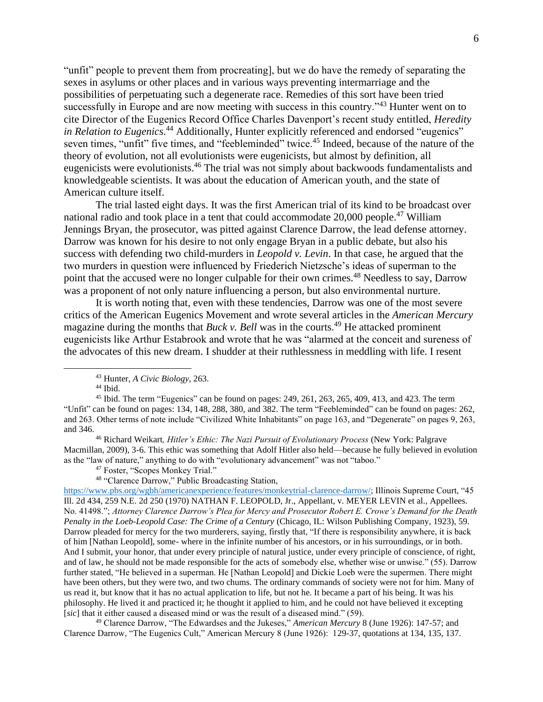"unfit" people to prevent them from procreating], but we do have the remedy of separating the sexes in asylums or other places and in various ways preventing intermarriage and the possibilities of perpetuating such a degenerate race. Remedies of this sort have been tried successfully in Europe and are now meeting with success in this country."<sup>43</sup> Hunter went on to cite Director of the Eugenics Record Office Charles Davenport's recent study entitled, *Heredity in Relation to Eugenics*. <sup>44</sup> Additionally, Hunter explicitly referenced and endorsed "eugenics" seven times, "unfit" five times, and "feebleminded" twice.<sup>45</sup> Indeed, because of the nature of the theory of evolution, not all evolutionists were eugenicists, but almost by definition, all eugenicists were evolutionists.<sup>46</sup> The trial was not simply about backwoods fundamentalists and knowledgeable scientists. It was about the education of American youth, and the state of American culture itself.

The trial lasted eight days. It was the first American trial of its kind to be broadcast over national radio and took place in a tent that could accommodate  $20,000$  people.<sup>47</sup> William Jennings Bryan, the prosecutor, was pitted against Clarence Darrow, the lead defense attorney. Darrow was known for his desire to not only engage Bryan in a public debate, but also his success with defending two child-murders in *Leopold v. Levin*. In that case, he argued that the two murders in question were influenced by Friederich Nietzsche's ideas of superman to the point that the accused were no longer culpable for their own crimes.<sup>48</sup> Needless to say, Darrow was a proponent of not only nature influencing a person, but also environmental nurture.

It is worth noting that, even with these tendencies, Darrow was one of the most severe critics of the American Eugenics Movement and wrote several articles in the *American Mercury* magazine during the months that *Buck v. Bell* was in the courts.<sup>49</sup> He attacked prominent eugenicists like Arthur Estabrook and wrote that he was "alarmed at the conceit and sureness of the advocates of this new dream. I shudder at their ruthlessness in meddling with life. I resent

<sup>44</sup> Ibid.

<sup>46</sup> Richard Weikart*, Hitler's Ethic: The Nazi Pursuit of Evolutionary Process* (New York: Palgrave Macmillan, 2009), 3-6. This ethic was something that Adolf Hitler also held—because he fully believed in evolution as the "law of nature," anything to do with "evolutionary advancement" was not "taboo."

<sup>47</sup> Foster, "Scopes Monkey Trial."

<sup>48</sup> "Clarence Darrow," Public Broadcasting Station,

[https://www.pbs.org/wgbh/americanexperience/features/monkeytrial-clarence-darrow/;](https://www.pbs.org/wgbh/americanexperience/features/monkeytrial-clarence-darrow/) Illinois Supreme Court, "45 Ill. 2d 434, 259 N.E. 2d 250 (1970) NATHAN F. LEOPOLD, Jr., Appellant, v. MEYER LEVIN et al., Appellees. No. 41498."; *Attorney Clarence Darrow's Plea for Mercy and Prosecutor Robert E. Crowe's Demand for the Death Penalty in the Loeb-Leopold Case: The Crime of a Century* (Chicago, IL: Wilson Publishing Company, 1923), 59. Darrow pleaded for mercy for the two murderers, saying, firstly that, "If there is responsibility anywhere, it is back of him [Nathan Leopold], some- where in the infinite number of his ancestors, or in his surroundings, or in both. And I submit, your honor, that under every principle of natural justice, under every principle of conscience, of right, and of law, he should not be made responsible for the acts of somebody else, whether wise or unwise." (55). Darrow further stated, "He believed in a superman. He [Nathan Leopold] and Dickie Loeb were the supermen. There might have been others, but they were two, and two chums. The ordinary commands of society were not for him. Many of us read it, but know that it has no actual application to life, but not he. It became a part of his being. It was his philosophy. He lived it and practiced it; he thought it applied to him, and he could not have believed it excepting [*sic*] that it either caused a diseased mind or was the result of a diseased mind." (59).

<sup>49</sup> Clarence Darrow, "The Edwardses and the Jukeses," *American Mercury* 8 (June 1926): 147-57; and Clarence Darrow, "The Eugenics Cult," American Mercury 8 (June 1926): 129-37, quotations at 134, 135, 137.

<sup>43</sup> Hunter, *A Civic Biology*, 263.

<sup>45</sup> Ibid. The term "Eugenics" can be found on pages: 249, 261, 263, 265, 409, 413, and 423. The term "Unfit" can be found on pages: 134, 148, 288, 380, and 382. The term "Feebleminded" can be found on pages: 262, and 263. Other terms of note include "Civilized White Inhabitants" on page 163, and "Degenerate" on pages 9, 263, and 346.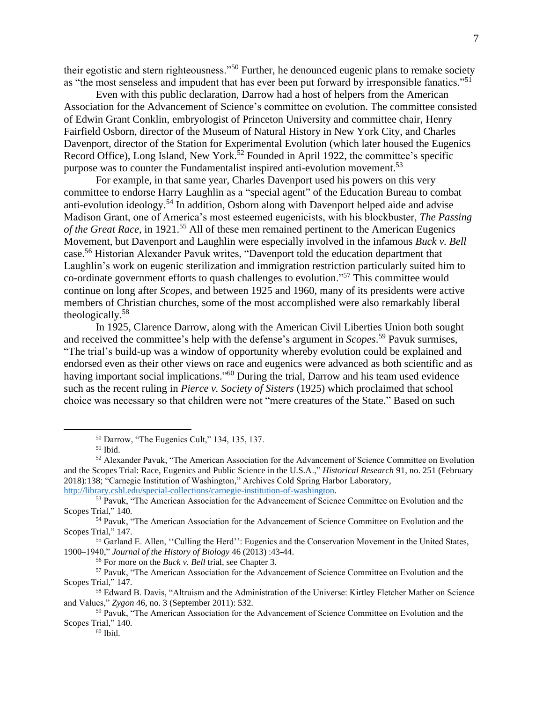their egotistic and stern righteousness."<sup>50</sup> Further, he denounced eugenic plans to remake society as "the most senseless and impudent that has ever been put forward by irresponsible fanatics."<sup>51</sup>

Even with this public declaration, Darrow had a host of helpers from the American Association for the Advancement of Science's committee on evolution. The committee consisted of Edwin Grant Conklin, embryologist of Princeton University and committee chair, Henry Fairfield Osborn, director of the Museum of Natural History in New York City, and Charles Davenport, director of the Station for Experimental Evolution (which later housed the Eugenics Record Office), Long Island, New York.<sup>52</sup> Founded in April 1922, the committee's specific purpose was to counter the Fundamentalist inspired anti-evolution movement.<sup>53</sup>

For example, in that same year, Charles Davenport used his powers on this very committee to endorse Harry Laughlin as a "special agent" of the Education Bureau to combat anti-evolution ideology.<sup>54</sup> In addition, Osborn along with Davenport helped aide and advise Madison Grant, one of America's most esteemed eugenicists, with his blockbuster, *The Passing of the Great Race*, in 1921.<sup>55</sup> All of these men remained pertinent to the American Eugenics Movement, but Davenport and Laughlin were especially involved in the infamous *Buck v. Bell* case.<sup>56</sup> Historian Alexander Pavuk writes, "Davenport told the education department that Laughlin's work on eugenic sterilization and immigration restriction particularly suited him to co-ordinate government efforts to quash challenges to evolution."<sup>57</sup> This committee would continue on long after *Scopes*, and between 1925 and 1960, many of its presidents were active members of Christian churches, some of the most accomplished were also remarkably liberal theologically. 58

In 1925, Clarence Darrow, along with the American Civil Liberties Union both sought and received the committee's help with the defense's argument in *Scopes*. <sup>59</sup> Pavuk surmises, "The trial's build-up was a window of opportunity whereby evolution could be explained and endorsed even as their other views on race and eugenics were advanced as both scientific and as having important social implications."<sup>60</sup> During the trial, Darrow and his team used evidence such as the recent ruling in *Pierce v. Society of Sisters* (1925) which proclaimed that school choice was necessary so that children were not "mere creatures of the State." Based on such

<sup>55</sup> Garland E. Allen, ''Culling the Herd'': Eugenics and the Conservation Movement in the United States, 1900–1940," *Journal of the History of Biology* 46 (2013) :43-44.

<sup>56</sup> For more on the *Buck v. Bell* trial, see Chapter 3.

 $60$  Ibid.

<sup>50</sup> Darrow, "The Eugenics Cult," 134, 135, 137.

 $51$  Ibid.

<sup>&</sup>lt;sup>52</sup> Alexander Pavuk, "The American Association for the Advancement of Science Committee on Evolution and the Scopes Trial: Race, Eugenics and Public Science in the U.S.A.," *Historical Research* 91, no. 251 (February 2018):138; "Carnegie Institution of Washington," Archives Cold Spring Harbor Laboratory, [http://library.cshl.edu/special-collections/carnegie-institution-of-washington.](http://library.cshl.edu/special-collections/carnegie-institution-of-washington)

<sup>&</sup>lt;sup>53</sup> Pavuk, "The American Association for the Advancement of Science Committee on Evolution and the Scopes Trial," 140.

<sup>54</sup> Pavuk, "The American Association for the Advancement of Science Committee on Evolution and the Scopes Trial," 147.

<sup>57</sup> Pavuk, "The American Association for the Advancement of Science Committee on Evolution and the Scopes Trial," 147.

<sup>&</sup>lt;sup>58</sup> Edward B. Davis, "Altruism and the Administration of the Universe: Kirtley Fletcher Mather on Science and Values," *Zygon* 46, no. 3 (September 2011): 532.

<sup>59</sup> Pavuk, "The American Association for the Advancement of Science Committee on Evolution and the Scopes Trial," 140.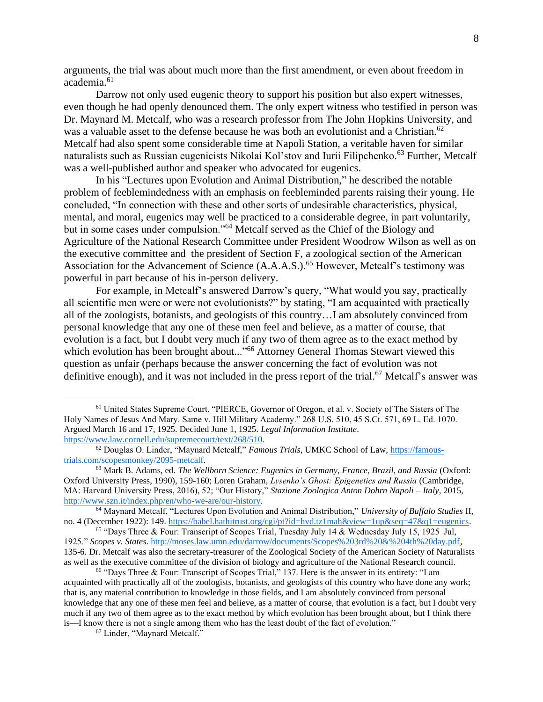arguments, the trial was about much more than the first amendment, or even about freedom in academia.<sup>61</sup>

Darrow not only used eugenic theory to support his position but also expert witnesses, even though he had openly denounced them. The only expert witness who testified in person was Dr. Maynard M. Metcalf, who was a research professor from The John Hopkins University, and was a valuable asset to the defense because he was both an evolutionist and a Christian.<sup>62</sup> Metcalf had also spent some considerable time at Napoli Station, a veritable haven for similar naturalists such as Russian eugenicists Nikolai Kol'stov and Iurii Filipchenko.<sup>63</sup> Further, Metcalf was a well-published author and speaker who advocated for eugenics.

In his "Lectures upon Evolution and Animal Distribution," he described the notable problem of feeblemindedness with an emphasis on feebleminded parents raising their young. He concluded, "In connection with these and other sorts of undesirable characteristics, physical, mental, and moral, eugenics may well be practiced to a considerable degree, in part voluntarily, but in some cases under compulsion."<sup>64</sup> Metcalf served as the Chief of the Biology and Agriculture of the National Research Committee under President Woodrow Wilson as well as on the executive committee and the president of Section F, a zoological section of the American Association for the Advancement of Science (A.A.A.S.).<sup>65</sup> However, Metcalf's testimony was powerful in part because of his in-person delivery.

For example, in Metcalf's answered Darrow's query, "What would you say, practically all scientific men were or were not evolutionists?" by stating, "I am acquainted with practically all of the zoologists, botanists, and geologists of this country…I am absolutely convinced from personal knowledge that any one of these men feel and believe, as a matter of course, that evolution is a fact, but I doubt very much if any two of them agree as to the exact method by which evolution has been brought about..."<sup>66</sup> Attorney General Thomas Stewart viewed this question as unfair (perhaps because the answer concerning the fact of evolution was not definitive enough), and it was not included in the press report of the trial.<sup>67</sup> Metcalf's answer was

<sup>61</sup> United States Supreme Court. "PIERCE, Governor of Oregon, et al. v. Society of The Sisters of The Holy Names of Jesus And Mary. Same v. Hill Military Academy." 268 U.S. 510, 45 S.Ct. 571, 69 L. Ed. 1070. Argued March 16 and 17, 1925. Decided June 1, 1925. *Legal Information Institute*. [https://www.law.cornell.edu/supremecourt/text/268/510.](https://www.law.cornell.edu/supremecourt/text/268/510)

<sup>62</sup> Douglas O. Linder, "Maynard Metcalf," *Famous Trials*, UMKC School of Law, [https://famous](https://famous-trials.com/scopesmonkey/2095-metcalf)[trials.com/scopesmonkey/2095-metcalf.](https://famous-trials.com/scopesmonkey/2095-metcalf)

<sup>63</sup> Mark B. Adams, ed. *The Wellborn Science: Eugenics in Germany, France, Brazil, and Russia* (Oxford: Oxford University Press, 1990), 159-160; Loren Graham, *Lysenko's Ghost: Epigenetics and Russia* (Cambridge, MA: Harvard University Press, 2016), 52; "Our History," *Stazione Zoologica Anton Dohrn Napoli – Italy*, 2015, [http://www.szn.it/index.php/en/who-we-are/our-history.](http://www.szn.it/index.php/en/who-we-are/our-history)

<sup>64</sup> Maynard Metcalf, "Lectures Upon Evolution and Animal Distribution," *University of Buffalo Studies* II, no. 4 (December 1922): 149. [https://babel.hathitrust.org/cgi/pt?id=hvd.tz1mah&view=1up&seq=47&q1=eugenics.](https://babel.hathitrust.org/cgi/pt?id=hvd.tz1mah&view=1up&seq=47&q1=eugenics)

 $65$  "Days Three & Four: Transcript of Scopes Trial, Tuesday July 14 & Wednesday July 15, 1925 Jul, 1925." *Scopes v. States*. [http://moses.law.umn.edu/darrow/documents/Scopes%203rd%20&%204th%20day.pdf,](http://moses.law.umn.edu/darrow/documents/Scopes%203rd%20&%204th%20day.pdf) 135-6. Dr. Metcalf was also the secretary-treasurer of the Zoological Society of the American Society of Naturalists as well as the executive committee of the division of biology and agriculture of the National Research council.

<sup>66</sup> "Days Three & Four: Transcript of Scopes Trial," 137. Here is the answer in its entirety: "I am acquainted with practically all of the zoologists, botanists, and geologists of this country who have done any work; that is, any material contribution to knowledge in those fields, and I am absolutely convinced from personal knowledge that any one of these men feel and believe, as a matter of course, that evolution is a fact, but I doubt very much if any two of them agree as to the exact method by which evolution has been brought about, but I think there is—I know there is not a single among them who has the least doubt of the fact of evolution."

<sup>67</sup> Linder, "Maynard Metcalf."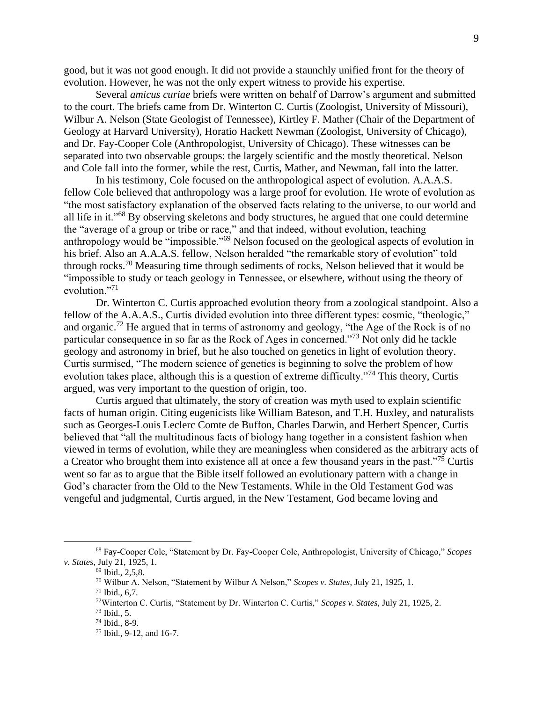good, but it was not good enough. It did not provide a staunchly unified front for the theory of evolution. However, he was not the only expert witness to provide his expertise.

Several *amicus curiae* briefs were written on behalf of Darrow's argument and submitted to the court. The briefs came from Dr. Winterton C. Curtis (Zoologist, University of Missouri), Wilbur A. Nelson (State Geologist of Tennessee), Kirtley F. Mather (Chair of the Department of Geology at Harvard University), Horatio Hackett Newman (Zoologist, University of Chicago), and Dr. Fay-Cooper Cole (Anthropologist, University of Chicago). These witnesses can be separated into two observable groups: the largely scientific and the mostly theoretical. Nelson and Cole fall into the former, while the rest, Curtis, Mather, and Newman, fall into the latter.

In his testimony, Cole focused on the anthropological aspect of evolution. A.A.A.S. fellow Cole believed that anthropology was a large proof for evolution. He wrote of evolution as "the most satisfactory explanation of the observed facts relating to the universe, to our world and all life in it."<sup>68</sup> By observing skeletons and body structures, he argued that one could determine the "average of a group or tribe or race," and that indeed, without evolution, teaching anthropology would be "impossible."<sup>69</sup> Nelson focused on the geological aspects of evolution in his brief. Also an A.A.A.S. fellow, Nelson heralded "the remarkable story of evolution" told through rocks.<sup>70</sup> Measuring time through sediments of rocks, Nelson believed that it would be "impossible to study or teach geology in Tennessee, or elsewhere, without using the theory of evolution."<sup>71</sup>

Dr. Winterton C. Curtis approached evolution theory from a zoological standpoint. Also a fellow of the A.A.A.S., Curtis divided evolution into three different types: cosmic, "theologic," and organic.<sup>72</sup> He argued that in terms of astronomy and geology, "the Age of the Rock is of no particular consequence in so far as the Rock of Ages in concerned."<sup>73</sup> Not only did he tackle geology and astronomy in brief, but he also touched on genetics in light of evolution theory. Curtis surmised, "The modern science of genetics is beginning to solve the problem of how evolution takes place, although this is a question of extreme difficulty."<sup>74</sup> This theory, Curtis argued, was very important to the question of origin, too.

Curtis argued that ultimately, the story of creation was myth used to explain scientific facts of human origin. Citing eugenicists like William Bateson, and T.H. Huxley, and naturalists such as Georges-Louis Leclerc Comte de Buffon, Charles Darwin, and Herbert Spencer, Curtis believed that "all the multitudinous facts of biology hang together in a consistent fashion when viewed in terms of evolution, while they are meaningless when considered as the arbitrary acts of a Creator who brought them into existence all at once a few thousand years in the past."<sup>75</sup> Curtis went so far as to argue that the Bible itself followed an evolutionary pattern with a change in God's character from the Old to the New Testaments. While in the Old Testament God was vengeful and judgmental, Curtis argued, in the New Testament, God became loving and

<sup>68</sup> Fay-Cooper Cole, "Statement by Dr. Fay-Cooper Cole, Anthropologist, University of Chicago," *Scopes v. States*, July 21, 1925, 1.

<sup>69</sup> Ibid., 2,5,8.

<sup>70</sup> Wilbur A. Nelson, "Statement by Wilbur A Nelson," *Scopes v. States*, July 21, 1925, 1.

 $71$  Ibid., 6,7.

<sup>72</sup>Winterton C. Curtis, "Statement by Dr. Winterton C. Curtis," *Scopes v. States*, July 21, 1925, 2.

 $73$  Ibid., 5.

<sup>74</sup> Ibid., 8-9.

<sup>75</sup> Ibid., 9-12, and 16-7.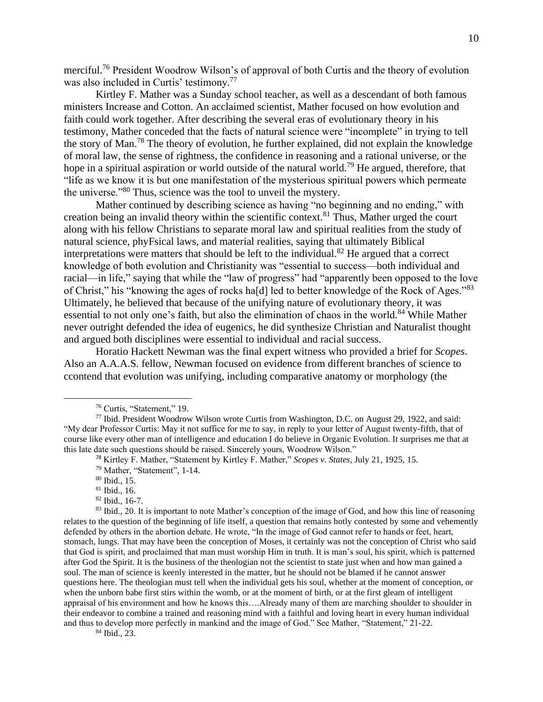merciful.<sup>76</sup> President Woodrow Wilson's of approval of both Curtis and the theory of evolution was also included in Curtis' testimony.<sup>77</sup>

Kirtley F. Mather was a Sunday school teacher, as well as a descendant of both famous ministers Increase and Cotton. An acclaimed scientist, Mather focused on how evolution and faith could work together. After describing the several eras of evolutionary theory in his testimony, Mather conceded that the facts of natural science were "incomplete" in trying to tell the story of Man.<sup>78</sup> The theory of evolution, he further explained, did not explain the knowledge of moral law, the sense of rightness, the confidence in reasoning and a rational universe, or the hope in a spiritual aspiration or world outside of the natural world.<sup>79</sup> He argued, therefore, that "life as we know it is but one manifestation of the mysterious spiritual powers which permeate the universe."<sup>80</sup> Thus, science was the tool to unveil the mystery.

Mather continued by describing science as having "no beginning and no ending," with creation being an invalid theory within the scientific context. $81$  Thus, Mather urged the court along with his fellow Christians to separate moral law and spiritual realities from the study of natural science, phyFsical laws, and material realities, saying that ultimately Biblical interpretations were matters that should be left to the individual.<sup>82</sup> He argued that a correct knowledge of both evolution and Christianity was "essential to success—both individual and racial—in life," saying that while the "law of progress" had "apparently been opposed to the love of Christ," his "knowing the ages of rocks ha[d] led to better knowledge of the Rock of Ages."<sup>83</sup> Ultimately, he believed that because of the unifying nature of evolutionary theory, it was essential to not only one's faith, but also the elimination of chaos in the world.<sup>84</sup> While Mather never outright defended the idea of eugenics, he did synthesize Christian and Naturalist thought and argued both disciplines were essential to individual and racial success.

Horatio Hackett Newman was the final expert witness who provided a brief for *Scopes*. Also an A.A.A.S. fellow, Newman focused on evidence from different branches of science to ccontend that evolution was unifying, including comparative anatomy or morphology (the

<sup>84</sup> Ibid., 23.

<sup>76</sup> Curtis, "Statement," 19.

<sup>77</sup> Ibid. President Woodrow Wilson wrote Curtis from Washington, D.C. on August 29, 1922, and said: "My dear Professor Curtis: May it not suffice for me to say, in reply to your letter of August twenty-fifth, that of course like every other man of intelligence and education I do believe in Organic Evolution. It surprises me that at this late date such questions should be raised. Sincerely yours, Woodrow Wilson."

<sup>78</sup> Kirtley F. Mather, "Statement by Kirtley F. Mather," *Scopes v. States*, July 21, 1925, 15.

<sup>79</sup> Mather, "Statement", 1-14.

 $80$  Ibid., 15.

<sup>81</sup> Ibid., 16.

 $82$  Ibid., 16-7.

<sup>83</sup> Ibid., 20. It is important to note Mather's conception of the image of God, and how this line of reasoning relates to the question of the beginning of life itself, a question that remains hotly contested by some and vehemently defended by others in the abortion debate. He wrote, "In the image of God cannot refer to hands or feet, heart, stomach, lungs. That may have been the conception of Moses, it certainly was not the conception of Christ who said that God is spirit, and proclaimed that man must worship Him in truth. It is man's soul, his spirit, which is patterned after God the Spirit. It is the business of the theologian not the scientist to state just when and how man gained a soul. The man of science is keenly interested in the matter, but he should not be blamed if he cannot answer questions here. The theologian must tell when the individual gets his soul, whether at the moment of conception, or when the unborn babe first stirs within the womb, or at the moment of birth, or at the first gleam of intelligent appraisal of his environment and how he knows this….Already many of them are marching shoulder to shoulder in their endeavor to combine a trained and reasoning mind with a faithful and loving heart in every human individual and thus to develop more perfectly in mankind and the image of God." See Mather, "Statement," 21-22.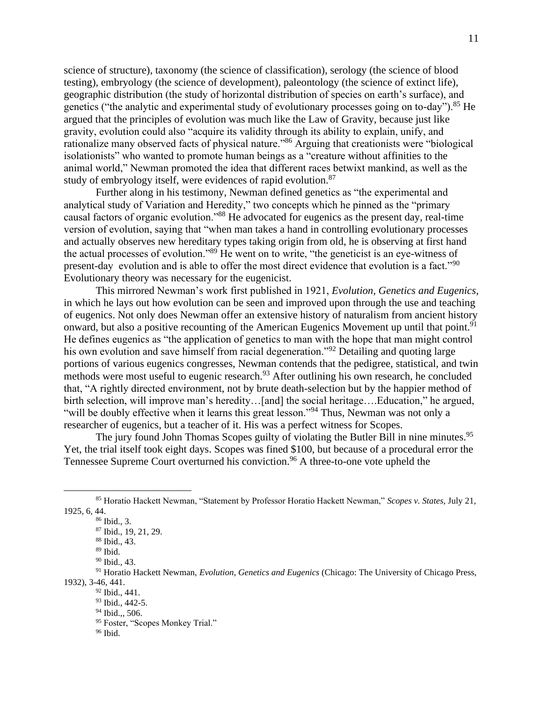science of structure), taxonomy (the science of classification), serology (the science of blood testing), embryology (the science of development), paleontology (the science of extinct life), geographic distribution (the study of horizontal distribution of species on earth's surface), and genetics ("the analytic and experimental study of evolutionary processes going on to-day").<sup>85</sup> He argued that the principles of evolution was much like the Law of Gravity, because just like gravity, evolution could also "acquire its validity through its ability to explain, unify, and rationalize many observed facts of physical nature."<sup>86</sup> Arguing that creationists were "biological isolationists" who wanted to promote human beings as a "creature without affinities to the animal world," Newman promoted the idea that different races betwixt mankind, as well as the study of embryology itself, were evidences of rapid evolution.<sup>87</sup>

Further along in his testimony, Newman defined genetics as "the experimental and analytical study of Variation and Heredity," two concepts which he pinned as the "primary causal factors of organic evolution."<sup>88</sup> He advocated for eugenics as the present day, real-time version of evolution, saying that "when man takes a hand in controlling evolutionary processes and actually observes new hereditary types taking origin from old, he is observing at first hand the actual processes of evolution."<sup>89</sup> He went on to write, "the geneticist is an eye-witness of present-day evolution and is able to offer the most direct evidence that evolution is a fact."<sup>90</sup> Evolutionary theory was necessary for the eugenicist.

This mirrored Newman's work first published in 1921, *Evolution, Genetics and Eugenics*, in which he lays out how evolution can be seen and improved upon through the use and teaching of eugenics. Not only does Newman offer an extensive history of naturalism from ancient history onward, but also a positive recounting of the American Eugenics Movement up until that point.<sup>91</sup> He defines eugenics as "the application of genetics to man with the hope that man might control his own evolution and save himself from racial degeneration."<sup>92</sup> Detailing and quoting large portions of various eugenics congresses, Newman contends that the pedigree, statistical, and twin methods were most useful to eugenic research.<sup>93</sup> After outlining his own research, he concluded that, "A rightly directed environment, not by brute death-selection but by the happier method of birth selection, will improve man's heredity...[and] the social heritage....Education," he argued, "will be doubly effective when it learns this great lesson."<sup>94</sup> Thus, Newman was not only a researcher of eugenics, but a teacher of it. His was a perfect witness for Scopes.

The jury found John Thomas Scopes guilty of violating the Butler Bill in nine minutes.<sup>95</sup> Yet, the trial itself took eight days. Scopes was fined \$100, but because of a procedural error the Tennessee Supreme Court overturned his conviction.<sup>96</sup> A three-to-one vote upheld the

<sup>96</sup> Ibid.

<sup>85</sup> Horatio Hackett Newman, "Statement by Professor Horatio Hackett Newman," *Scopes v. States*, July 21, 1925, 6, 44.

<sup>86</sup> Ibid., 3.

<sup>87</sup> Ibid., 19, 21, 29.

<sup>88</sup> Ibid., 43.

<sup>89</sup> Ibid.

<sup>90</sup> Ibid., 43.

<sup>91</sup> Horatio Hackett Newman, *Evolution, Genetics and Eugenics* (Chicago: The University of Chicago Press, 1932), 3-46, 441.

<sup>92</sup> Ibid., 441.

<sup>93</sup> Ibid., 442-5.

 $94$  Ibid.,, 506.

<sup>&</sup>lt;sup>95</sup> Foster, "Scopes Monkey Trial."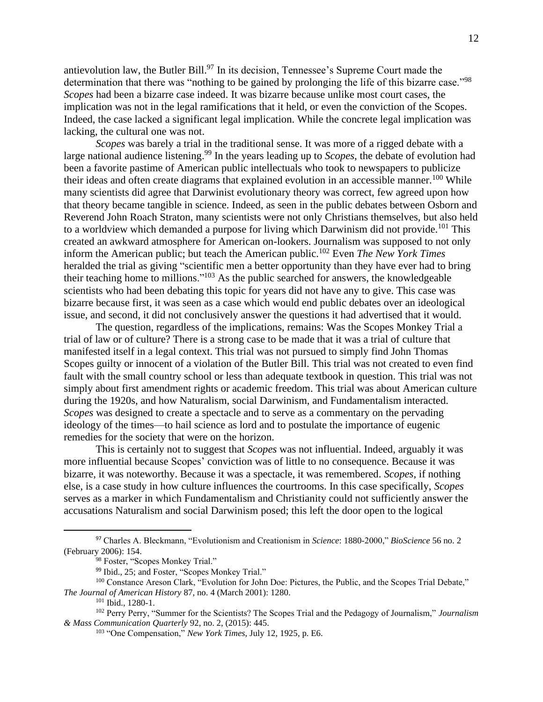antievolution law, the Butler Bill.<sup>97</sup> In its decision, Tennessee's Supreme Court made the determination that there was "nothing to be gained by prolonging the life of this bizarre case."<sup>98</sup> *Scopes* had been a bizarre case indeed. It was bizarre because unlike most court cases, the implication was not in the legal ramifications that it held, or even the conviction of the Scopes. Indeed, the case lacked a significant legal implication. While the concrete legal implication was lacking, the cultural one was not.

*Scopes* was barely a trial in the traditional sense. It was more of a rigged debate with a large national audience listening.<sup>99</sup> In the years leading up to *Scopes*, the debate of evolution had been a favorite pastime of American public intellectuals who took to newspapers to publicize their ideas and often create diagrams that explained evolution in an accessible manner.<sup>100</sup> While many scientists did agree that Darwinist evolutionary theory was correct, few agreed upon how that theory became tangible in science. Indeed, as seen in the public debates between Osborn and Reverend John Roach Straton, many scientists were not only Christians themselves, but also held to a worldview which demanded a purpose for living which Darwinism did not provide.<sup>101</sup> This created an awkward atmosphere for American on-lookers. Journalism was supposed to not only inform the American public; but teach the American public.<sup>102</sup> Even *The New York Times* heralded the trial as giving "scientific men a better opportunity than they have ever had to bring their teaching home to millions."<sup>103</sup> As the public searched for answers, the knowledgeable scientists who had been debating this topic for years did not have any to give. This case was bizarre because first, it was seen as a case which would end public debates over an ideological issue, and second, it did not conclusively answer the questions it had advertised that it would.

The question, regardless of the implications, remains: Was the Scopes Monkey Trial a trial of law or of culture? There is a strong case to be made that it was a trial of culture that manifested itself in a legal context. This trial was not pursued to simply find John Thomas Scopes guilty or innocent of a violation of the Butler Bill. This trial was not created to even find fault with the small country school or less than adequate textbook in question. This trial was not simply about first amendment rights or academic freedom. This trial was about American culture during the 1920s, and how Naturalism, social Darwinism, and Fundamentalism interacted. *Scopes* was designed to create a spectacle and to serve as a commentary on the pervading ideology of the times—to hail science as lord and to postulate the importance of eugenic remedies for the society that were on the horizon.

This is certainly not to suggest that *Scopes* was not influential. Indeed, arguably it was more influential because Scopes' conviction was of little to no consequence. Because it was bizarre, it was noteworthy. Because it was a spectacle, it was remembered. *Scopes*, if nothing else, is a case study in how culture influences the courtrooms. In this case specifically, *Scopes* serves as a marker in which Fundamentalism and Christianity could not sufficiently answer the accusations Naturalism and social Darwinism posed; this left the door open to the logical

<sup>97</sup> Charles A. Bleckmann, "Evolutionism and Creationism in *Science*: 1880-2000," *BioScience* 56 no. 2 (February 2006): 154.

<sup>&</sup>lt;sup>98</sup> Foster, "Scopes Monkey Trial."

<sup>99</sup> Ibid., 25; and Foster, "Scopes Monkey Trial."

<sup>&</sup>lt;sup>100</sup> Constance Areson Clark, "Evolution for John Doe: Pictures, the Public, and the Scopes Trial Debate," *The Journal of American History* 87, no. 4 (March 2001): 1280.

<sup>101</sup> Ibid., 1280-1.

<sup>102</sup> Perry Perry, "Summer for the Scientists? The Scopes Trial and the Pedagogy of Journalism," *Journalism & Mass Communication Quarterly* 92, no. 2, (2015): 445.

<sup>103</sup> "One Compensation," *New York Times*, July 12, 1925, p. E6.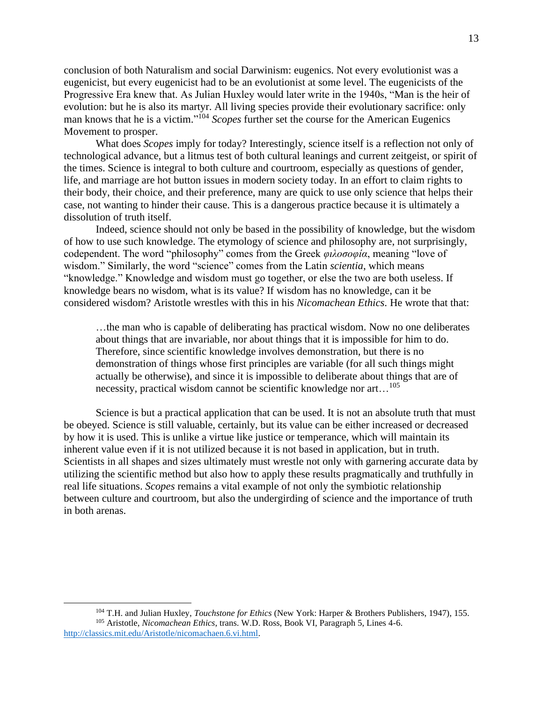conclusion of both Naturalism and social Darwinism: eugenics. Not every evolutionist was a eugenicist, but every eugenicist had to be an evolutionist at some level. The eugenicists of the Progressive Era knew that. As Julian Huxley would later write in the 1940s, "Man is the heir of evolution: but he is also its martyr. All living species provide their evolutionary sacrifice: only man knows that he is a victim." <sup>104</sup> *Scopes* further set the course for the American Eugenics Movement to prosper.

What does *Scopes* imply for today? Interestingly, science itself is a reflection not only of technological advance, but a litmus test of both cultural leanings and current zeitgeist, or spirit of the times. Science is integral to both culture and courtroom, especially as questions of gender, life, and marriage are hot button issues in modern society today. In an effort to claim rights to their body, their choice, and their preference, many are quick to use only science that helps their case, not wanting to hinder their cause. This is a dangerous practice because it is ultimately a dissolution of truth itself.

Indeed, science should not only be based in the possibility of knowledge, but the wisdom of how to use such knowledge. The etymology of science and philosophy are, not surprisingly, codependent. The word "philosophy" comes from the Greek *φιλοσοφία*, meaning "love of wisdom." Similarly, the word "science" comes from the Latin *scientia*, which means "knowledge." Knowledge and wisdom must go together, or else the two are both useless. If knowledge bears no wisdom, what is its value? If wisdom has no knowledge, can it be considered wisdom? Aristotle wrestles with this in his *Nicomachean Ethics*. He wrote that that:

…the man who is capable of deliberating has practical wisdom. Now no one deliberates about things that are invariable, nor about things that it is impossible for him to do. Therefore, since scientific knowledge involves demonstration, but there is no demonstration of things whose first principles are variable (for all such things might actually be otherwise), and since it is impossible to deliberate about things that are of necessity, practical wisdom cannot be scientific knowledge nor art...<sup>105</sup>

Science is but a practical application that can be used. It is not an absolute truth that must be obeyed. Science is still valuable, certainly, but its value can be either increased or decreased by how it is used. This is unlike a virtue like justice or temperance, which will maintain its inherent value even if it is not utilized because it is not based in application, but in truth. Scientists in all shapes and sizes ultimately must wrestle not only with garnering accurate data by utilizing the scientific method but also how to apply these results pragmatically and truthfully in real life situations. *Scopes* remains a vital example of not only the symbiotic relationship between culture and courtroom, but also the undergirding of science and the importance of truth in both arenas.

<sup>104</sup> T.H. and Julian Huxley, *Touchstone for Ethics* (New York: Harper & Brothers Publishers, 1947), 155. <sup>105</sup> Aristotle, *Nicomachean Ethics*, trans. W.D. Ross, Book VI, Paragraph 5, Lines 4-6.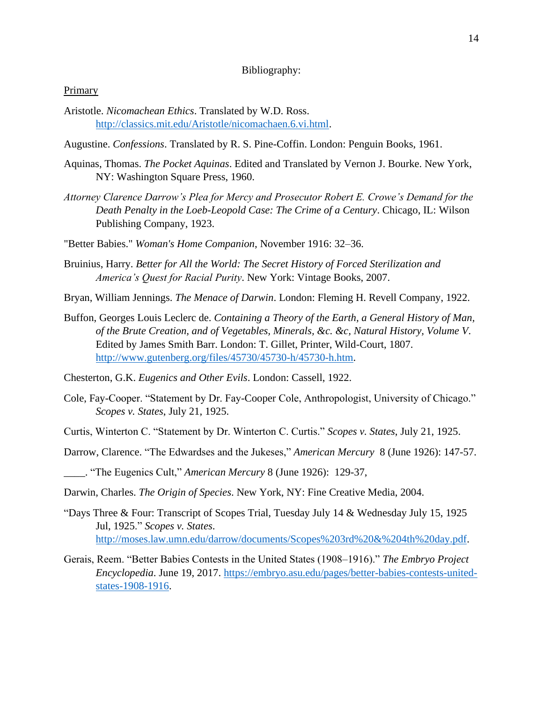## Bibliography:

## Primary

Aristotle. *Nicomachean Ethics*. Translated by W.D. Ross. [http://classics.mit.edu/Aristotle/nicomachaen.6.vi.html.](http://classics.mit.edu/Aristotle/nicomachaen.6.vi.html)

- Augustine. *Confessions*. Translated by R. S. Pine-Coffin. London: Penguin Books, 1961.
- Aquinas, Thomas. *The Pocket Aquinas*. Edited and Translated by Vernon J. Bourke. New York, NY: Washington Square Press, 1960.
- *Attorney Clarence Darrow's Plea for Mercy and Prosecutor Robert E. Crowe's Demand for the Death Penalty in the Loeb-Leopold Case: The Crime of a Century*. Chicago, IL: Wilson Publishing Company, 1923.
- "Better Babies." *Woman's Home Companion*, November 1916: 32–36.
- Bruinius, Harry. *Better for All the World: The Secret History of Forced Sterilization and America's Quest for Racial Purity*. New York: Vintage Books, 2007.
- Bryan, William Jennings. *The Menace of Darwin*. London: Fleming H. Revell Company, 1922.
- Buffon, Georges Louis Leclerc de. *Containing a Theory of the Earth, a General History of Man, of the Brute Creation, and of Vegetables, Minerals, &c. &c, Natural History, Volume V*. Edited by James Smith Barr. London: T. Gillet, Printer, Wild-Court, 1807. [http://www.gutenberg.org/files/45730/45730-h/45730-h.htm.](http://www.gutenberg.org/files/45730/45730-h/45730-h.htm)
- Chesterton, G.K. *Eugenics and Other Evils*. London: Cassell, 1922.
- Cole, Fay-Cooper. "Statement by Dr. Fay-Cooper Cole, Anthropologist, University of Chicago." *Scopes v. States*, July 21, 1925.
- Curtis, Winterton C. "Statement by Dr. Winterton C. Curtis." *Scopes v. States*, July 21, 1925.
- Darrow, Clarence. "The Edwardses and the Jukeses," *American Mercury* 8 (June 1926): 147-57.
- \_\_\_\_. "The Eugenics Cult," *American Mercury* 8 (June 1926): 129-37,
- Darwin, Charles. *The Origin of Species*. New York, NY: Fine Creative Media, 2004.
- "Days Three & Four: Transcript of Scopes Trial, Tuesday July 14 & Wednesday July 15, 1925 Jul, 1925." *Scopes v. States*. [http://moses.law.umn.edu/darrow/documents/Scopes%203rd%20&%204th%20day.pdf.](http://moses.law.umn.edu/darrow/documents/Scopes%203rd%20&%204th%20day.pdf)
- Gerais, Reem. "Better Babies Contests in the United States (1908–1916)." *The Embryo Project Encyclopedia*. June 19, 2017. [https://embryo.asu.edu/pages/better-babies-contests-united](https://embryo.asu.edu/pages/better-babies-contests-united-states-1908-1916)[states-1908-1916.](https://embryo.asu.edu/pages/better-babies-contests-united-states-1908-1916)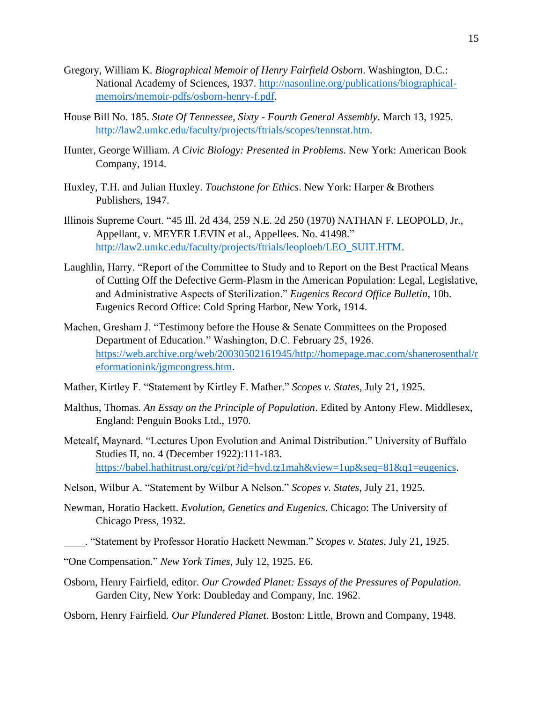- Gregory, William K. *Biographical Memoir of Henry Fairfield Osborn*. Washington, D.C.: National Academy of Sciences, 1937. [http://nasonline.org/publications/biographical](http://nasonline.org/publications/biographical-memoirs/memoir-pdfs/osborn-henry-f.pdf)[memoirs/memoir-pdfs/osborn-henry-f.pdf.](http://nasonline.org/publications/biographical-memoirs/memoir-pdfs/osborn-henry-f.pdf)
- House Bill No. 185. *State Of Tennessee, Sixty - Fourth General Assembly*. March 13, 1925. [http://law2.umkc.edu/faculty/projects/ftrials/scopes/tennstat.htm.](http://law2.umkc.edu/faculty/projects/ftrials/scopes/tennstat.htm)
- Hunter, George William. *A Civic Biology: Presented in Problems*. New York: American Book Company, 1914.
- Huxley, T.H. and Julian Huxley. *Touchstone for Ethics*. New York: Harper & Brothers Publishers, 1947.
- Illinois Supreme Court. "45 Ill. 2d 434, 259 N.E. 2d 250 (1970) NATHAN F. LEOPOLD, Jr., Appellant, v. MEYER LEVIN et al., Appellees. No. 41498." [http://law2.umkc.edu/faculty/projects/ftrials/leoploeb/LEO\\_SUIT.HTM.](http://law2.umkc.edu/faculty/projects/ftrials/leoploeb/LEO_SUIT.HTM)
- Laughlin, Harry. "Report of the Committee to Study and to Report on the Best Practical Means of Cutting Off the Defective Germ-Plasm in the American Population: Legal, Legislative, and Administrative Aspects of Sterilization." *Eugenics Record Office Bulletin*, 10b. Eugenics Record Office: Cold Spring Harbor, New York, 1914.
- Machen, Gresham J. "Testimony before the House & Senate Committees on the Proposed Department of Education." Washington, D.C. February 25, 1926. [https://web.archive.org/web/20030502161945/http://homepage.mac.com/shanerosenthal/r](https://web.archive.org/web/20030502161945/http:/homepage.mac.com/shanerosenthal/reformationink/jgmcongress.htm) [eformationink/jgmcongress.htm.](https://web.archive.org/web/20030502161945/http:/homepage.mac.com/shanerosenthal/reformationink/jgmcongress.htm)
- Mather, Kirtley F. "Statement by Kirtley F. Mather." *Scopes v. States*, July 21, 1925.
- Malthus, Thomas. *An Essay on the Principle of Population*. Edited by Antony Flew. Middlesex, England: Penguin Books Ltd., 1970.
- Metcalf, Maynard. "Lectures Upon Evolution and Animal Distribution." University of Buffalo Studies II, no. 4 (December 1922):111-183. [https://babel.hathitrust.org/cgi/pt?id=hvd.tz1mah&view=1up&seq=81&q1=eugenics.](https://babel.hathitrust.org/cgi/pt?id=hvd.tz1mah&view=1up&seq=81&q1=eugenics)
- Nelson, Wilbur A. "Statement by Wilbur A Nelson." *Scopes v. States*, July 21, 1925.
- Newman, Horatio Hackett. *Evolution, Genetics and Eugenics*. Chicago: The University of Chicago Press, 1932.
- \_\_\_\_. "Statement by Professor Horatio Hackett Newman." *Scopes v. States*, July 21, 1925.
- "One Compensation." *New York Times*, July 12, 1925. E6.
- Osborn, Henry Fairfield, editor. *Our Crowded Planet: Essays of the Pressures of Population*. Garden City, New York: Doubleday and Company, Inc. 1962.
- Osborn, Henry Fairfield. *Our Plundered Planet*. Boston: Little, Brown and Company, 1948.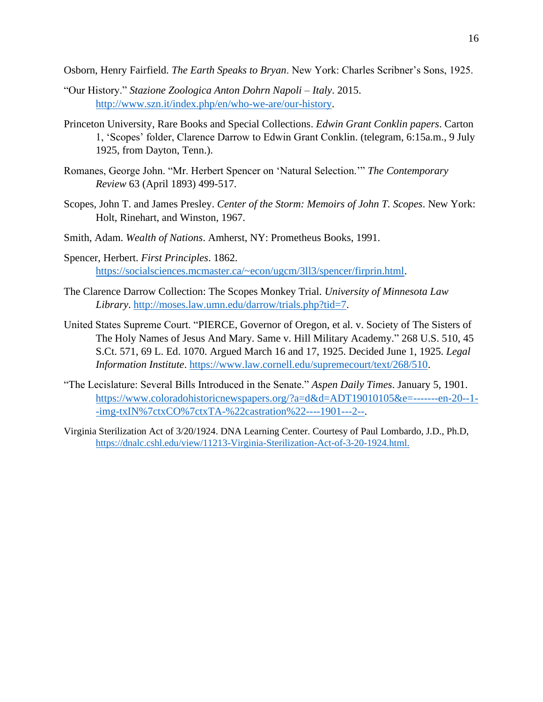Osborn, Henry Fairfield. *The Earth Speaks to Bryan*. New York: Charles Scribner's Sons, 1925.

- "Our History." *Stazione Zoologica Anton Dohrn Napoli – Italy*. 2015. [http://www.szn.it/index.php/en/who-we-are/our-history.](http://www.szn.it/index.php/en/who-we-are/our-history)
- Princeton University, Rare Books and Special Collections. *Edwin Grant Conklin papers*. Carton 1, 'Scopes' folder, Clarence Darrow to Edwin Grant Conklin. (telegram, 6:15a.m., 9 July 1925, from Dayton, Tenn.).
- Romanes, George John. "Mr. Herbert Spencer on 'Natural Selection.'" *The Contemporary Review* 63 (April 1893) 499-517.
- Scopes, John T. and James Presley. *Center of the Storm: Memoirs of John T. Scopes*. New York: Holt, Rinehart, and Winston, 1967.
- Smith, Adam. *Wealth of Nations*. Amherst, NY: Prometheus Books, 1991.
- Spencer, Herbert. *First Principles*. 1862. [https://socialsciences.mcmaster.ca/~econ/ugcm/3ll3/spencer/firprin.html.](https://socialsciences.mcmaster.ca/~econ/ugcm/3ll3/spencer/firprin.html)
- The Clarence Darrow Collection: The Scopes Monkey Trial. *University of Minnesota Law Library*. [http://moses.law.umn.edu/darrow/trials.php?tid=7.](http://moses.law.umn.edu/darrow/trials.php?tid=7)
- United States Supreme Court. "PIERCE, Governor of Oregon, et al. v. Society of The Sisters of The Holy Names of Jesus And Mary. Same v. Hill Military Academy." 268 U.S. 510, 45 S.Ct. 571, 69 L. Ed. 1070. Argued March 16 and 17, 1925. Decided June 1, 1925. *Legal Information Institute*. [https://www.law.cornell.edu/supremecourt/text/268/510.](https://www.law.cornell.edu/supremecourt/text/268/510)
- "The Lecislature: Several Bills Introduced in the Senate." *Aspen Daily Times*. January 5, 1901. [https://www.coloradohistoricnewspapers.org/?a=d&d=ADT19010105&e=-------en-20--1-](https://www.coloradohistoricnewspapers.org/?a=d&d=ADT19010105&e=-------en-20--1--img-txIN%7ctxCO%7ctxTA-%22castration%22----1901---2--) [-img-txIN%7ctxCO%7ctxTA-%22castration%22----1901---2--.](https://www.coloradohistoricnewspapers.org/?a=d&d=ADT19010105&e=-------en-20--1--img-txIN%7ctxCO%7ctxTA-%22castration%22----1901---2--)
- Virginia Sterilization Act of 3/20/1924. DNA Learning Center. Courtesy of Paul Lombardo, J.D., Ph.D, [https://dnalc.cshl.edu/view/11213-Virginia-Sterilization-Act-of-3-20-1924.html.](https://dnalc.cshl.edu/view/11213-Virginia-Sterilization-Act-of-3-20-1924.html)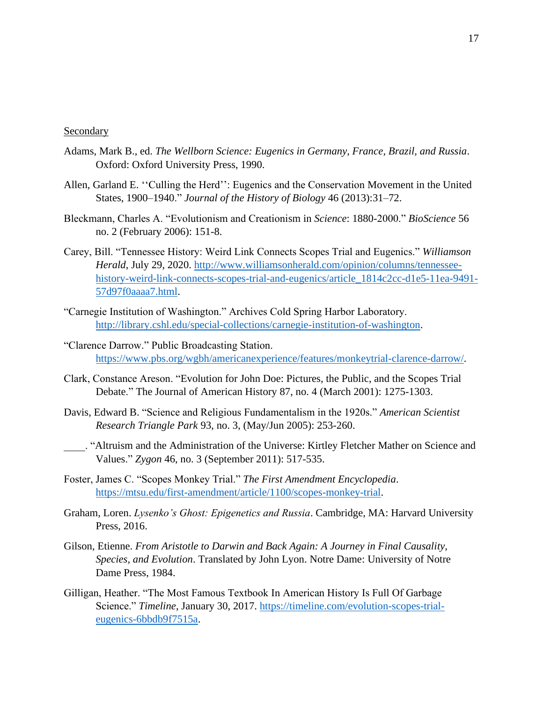Secondary

- Adams, Mark B., ed. *The Wellborn Science: Eugenics in Germany, France, Brazil, and Russia*. Oxford: Oxford University Press, 1990.
- Allen, Garland E. ''Culling the Herd'': Eugenics and the Conservation Movement in the United States, 1900–1940." *Journal of the History of Biology* 46 (2013):31–72.
- Bleckmann, Charles A. "Evolutionism and Creationism in *Science*: 1880-2000." *BioScience* 56 no. 2 (February 2006): 151-8.
- Carey, Bill. "Tennessee History: Weird Link Connects Scopes Trial and Eugenics." *Williamson Herald*, July 29, 2020. [http://www.williamsonherald.com/opinion/columns/tennessee](http://www.williamsonherald.com/opinion/columns/tennessee-history-weird-link-connects-scopes-trial-and-eugenics/article_1814c2cc-d1e5-11ea-9491-57d97f0aaaa7.html)history-weird-link-connects-scopes-trial-and-eugenics/article 1814c2cc-d1e5-11ea-9491-[57d97f0aaaa7.html.](http://www.williamsonherald.com/opinion/columns/tennessee-history-weird-link-connects-scopes-trial-and-eugenics/article_1814c2cc-d1e5-11ea-9491-57d97f0aaaa7.html)
- "Carnegie Institution of Washington." Archives Cold Spring Harbor Laboratory. [http://library.cshl.edu/special-collections/carnegie-institution-of-washington.](http://library.cshl.edu/special-collections/carnegie-institution-of-washington)
- "Clarence Darrow." Public Broadcasting Station. [https://www.pbs.org/wgbh/americanexperience/features/monkeytrial-clarence-darrow/.](https://www.pbs.org/wgbh/americanexperience/features/monkeytrial-clarence-darrow/)
- Clark, Constance Areson. "Evolution for John Doe: Pictures, the Public, and the Scopes Trial Debate." The Journal of American History 87, no. 4 (March 2001): 1275-1303.
- Davis, Edward B. "Science and Religious Fundamentalism in the 1920s." *American Scientist Research Triangle Park* 93, no. 3, (May/Jun 2005): 253-260.
- \_\_\_\_. "Altruism and the Administration of the Universe: Kirtley Fletcher Mather on Science and Values." *Zygon* 46, no. 3 (September 2011): 517-535.
- Foster, James C. "Scopes Monkey Trial." *The First Amendment Encyclopedia*. [https://mtsu.edu/first-amendment/article/1100/scopes-monkey-trial.](https://mtsu.edu/first-amendment/article/1100/scopes-monkey-trial)
- Graham, Loren. *Lysenko's Ghost: Epigenetics and Russia*. Cambridge, MA: Harvard University Press, 2016.
- Gilson, Etienne. *From Aristotle to Darwin and Back Again: A Journey in Final Causality, Species, and Evolution*. Translated by John Lyon. Notre Dame: University of Notre Dame Press, 1984.
- Gilligan, Heather. "The Most Famous Textbook In American History Is Full Of Garbage Science." *Timeline*, January 30, 2017. [https://timeline.com/evolution-scopes-trial](https://timeline.com/evolution-scopes-trial-eugenics-6bbdb9f7515a)[eugenics-6bbdb9f7515a.](https://timeline.com/evolution-scopes-trial-eugenics-6bbdb9f7515a)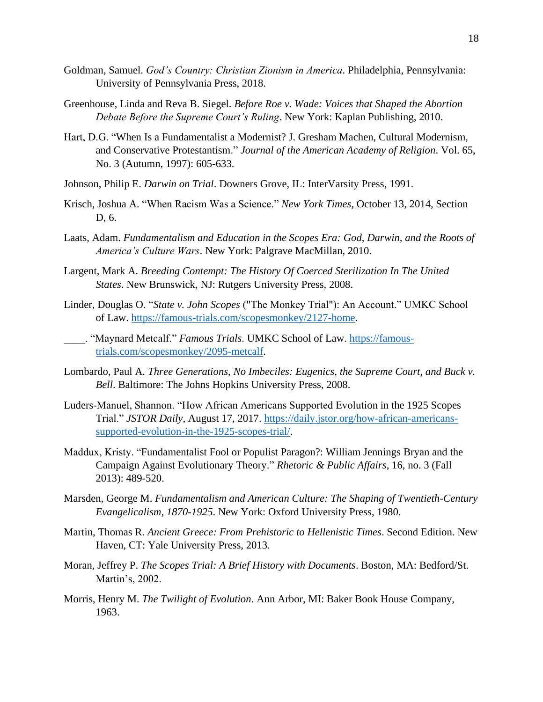- Goldman, Samuel. *God's Country: Christian Zionism in America*. Philadelphia, Pennsylvania: University of Pennsylvania Press, 2018.
- Greenhouse, Linda and Reva B. Siegel. *Before Roe v. Wade: Voices that Shaped the Abortion Debate Before the Supreme Court's Ruling*. New York: Kaplan Publishing, 2010.
- Hart, D.G. "When Is a Fundamentalist a Modernist? J. Gresham Machen, Cultural Modernism, and Conservative Protestantism." *Journal of the American Academy of Religion*. Vol. 65, No. 3 (Autumn, 1997): 605-633.
- Johnson, Philip E. *Darwin on Trial*. Downers Grove, IL: InterVarsity Press, 1991.
- Krisch, Joshua A. "When Racism Was a Science." *New York Times*, October 13, 2014, Section D, 6.
- Laats, Adam. *Fundamentalism and Education in the Scopes Era: God, Darwin, and the Roots of America's Culture Wars*. New York: Palgrave MacMillan, 2010.
- Largent, Mark A. *Breeding Contempt: The History Of Coerced Sterilization In The United States*. New Brunswick, NJ: Rutgers University Press, 2008.
- Linder, Douglas O. "*State v. John Scopes* ("The Monkey Trial"): An Account." UMKC School of Law. [https://famous-trials.com/scopesmonkey/2127-home.](https://famous-trials.com/scopesmonkey/2127-home)

\_\_\_\_. "Maynard Metcalf." *Famous Trials*. UMKC School of Law. [https://famous](https://famous-trials.com/scopesmonkey/2095-metcalf)[trials.com/scopesmonkey/2095-metcalf.](https://famous-trials.com/scopesmonkey/2095-metcalf)

- Lombardo, Paul A*. Three Generations, No Imbeciles: Eugenics, the Supreme Court, and Buck v. Bell*. Baltimore: The Johns Hopkins University Press, 2008.
- Luders-Manuel, Shannon. "How African Americans Supported Evolution in the 1925 Scopes Trial." *JSTOR Daily*, August 17, 2017. [https://daily.jstor.org/how-african-americans](https://daily.jstor.org/how-african-americans-supported-evolution-in-the-1925-scopes-trial/)[supported-evolution-in-the-1925-scopes-trial/.](https://daily.jstor.org/how-african-americans-supported-evolution-in-the-1925-scopes-trial/)
- Maddux, Kristy. "Fundamentalist Fool or Populist Paragon?: William Jennings Bryan and the Campaign Against Evolutionary Theory." *Rhetoric & Public Affairs*, 16, no. 3 (Fall 2013): 489-520.
- Marsden, George M. *Fundamentalism and American Culture: The Shaping of Twentieth-Century Evangelicalism, 1870-1925*. New York: Oxford University Press, 1980.
- Martin, Thomas R. *Ancient Greece: From Prehistoric to Hellenistic Times*. Second Edition. New Haven, CT: Yale University Press, 2013.
- Moran, Jeffrey P. *The Scopes Trial: A Brief History with Documents*. Boston, MA: Bedford/St. Martin's, 2002.
- Morris, Henry M. *The Twilight of Evolution*. Ann Arbor, MI: Baker Book House Company, 1963.